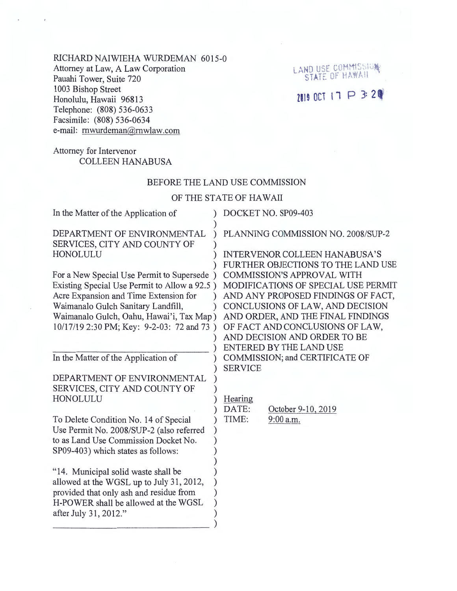RICHARD NAIWIEHA WURDEMAN 6015-0 Attorney at Law, A Law Corporation Pauahi Tower, Suite 720 1003 Bishop Street Honolulu, Hawaii 96813 Telephone: (808) 536-0633 Facsimile: (808) 536-0634 e-mail: rnwurdeman@mwlaw.com

# Attorney for Intervenor COLLEEN HANABUSA

#### BEFORE THE LAND USE COMMISSION

LAND USE COMMISSION

ZOIS OCT IT P 3:29

### OF THE STATE OF HAWAII

| In the Matter of the Application of                         | DOCKET NO. SP09-403                                                        |
|-------------------------------------------------------------|----------------------------------------------------------------------------|
| DEPARTMENT OF ENVIRONMENTAL<br>SERVICES, CITY AND COUNTY OF | PLANNING COMMISSION NO. 2008/SUP-2                                         |
| HONOLULU                                                    | <b>INTERVENOR COLLEEN HANABUSA'S</b><br>FURTHER OBJECTIONS TO THE LAND USE |
| For a New Special Use Permit to Supersede)                  | <b>COMMISSION'S APPROVAL WITH</b>                                          |
| Existing Special Use Permit to Allow a 92.5)                | MODIFICATIONS OF SPECIAL USE PERMIT                                        |
| Acre Expansion and Time Extension for                       | AND ANY PROPOSED FINDINGS OF FACT,                                         |
| Waimanalo Gulch Sanitary Landfill,                          | CONCLUSIONS OF LAW, AND DECISION                                           |
| Waimanalo Gulch, Oahu, Hawai'i, Tax Map)                    | AND ORDER, AND THE FINAL FINDINGS                                          |
| 10/17/19 2:30 PM; Key: 9-2-03: 72 and 73)                   | OF FACT AND CONCLUSIONS OF LAW,                                            |
|                                                             | AND DECISION AND ORDER TO BE                                               |
|                                                             | ENTERED BY THE LAND USE                                                    |
| In the Matter of the Application of                         | COMMISSION; and CERTIFICATE OF                                             |
| DEPARTMENT OF ENVIRONMENTAL                                 | <b>SERVICE</b>                                                             |
| SERVICES, CITY AND COUNTY OF                                |                                                                            |
| HONOLULU                                                    | Hearing                                                                    |
|                                                             | October 9-10, 2019<br>DATE:                                                |
| To Delete Condition No. 14 of Special                       | 9:00 a.m.<br>TIME:                                                         |
| Use Permit No. 2008/SUP-2 (also referred                    |                                                                            |
| to as Land Use Commission Docket No.                        |                                                                            |
| SP09-403) which states as follows:                          |                                                                            |
|                                                             |                                                                            |
| "14. Municipal solid waste shall be                         |                                                                            |
| allowed at the WGSL up to July 31, 2012,                    |                                                                            |
| provided that only ash and residue from                     |                                                                            |
| H-POWER shall be allowed at the WGSL                        |                                                                            |
| after July 31, 2012."                                       |                                                                            |
|                                                             |                                                                            |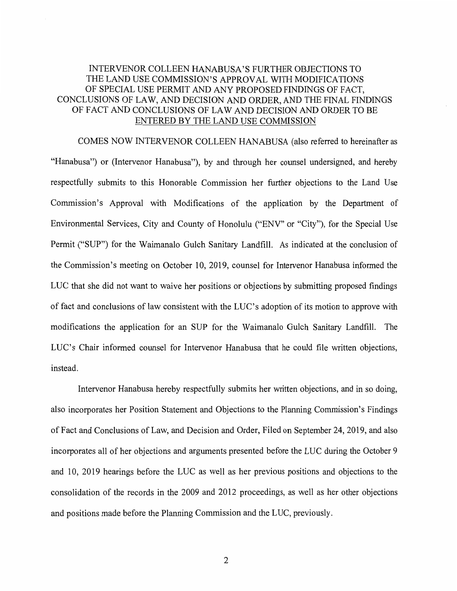### INTERVENOR COLLEEN HANABUSA'S FURTHER OBJECTIONS TO THE LAND USE COMMISSION'S APPROVAL WITH MODIFICATIONS OF SPECIAL USE PERMIT AND ANY PROPOSED FINDINGS OF FACT, CONCLUSIONS OF LAW, AND DECISION AND ORDER, AND THE FINAL FINDINGS OFF ACT AND CONCLUSIONS OF LAW AND DECISION AND ORDER TO BE ENTERED BY THE LAND USE COMMISSION

COMES NOW INTERVENOR COLLEEN HANABUSA (also referred to hereinafter as "Hanabusa") or (Intervenor Hanabusa"), by and through her counsel undersigned, and hereby respectfully submits to this Honorable Commission her further objections to the Land Use Commission's Approval with Modifications of the application by the Department of Environmental Services, City and County of Honolulu ("ENV" or "City"), for the Special Use Permit ("SUP") for the Waimanalo Gulch Sanitary Landfill. As indicated at the conclusion of the Commission's meeting on October 10, 2019, counsel for Intervenor Hanabusa informed the LUC that she did not want to waive her positions or objections by submitting proposed findings of fact and conclusions of law consistent with the LUC's adoption of its motion to approve with modifications the application for an SUP for the Waimanalo Gulch Sanitary Landfill. The LUC's Chair informed counsel for Intervenor Hanabusa that he could file written objections, instead.

Intervenor Hanabusa hereby respectfully submits her written objections, and in so doing, also incorporates her Position Statement and Objections to the Planning Commission's Findings of Fact and Conclusions of Law, and Decision and Order, Filed on September 24, 2019, and also incorporates all of her objections and arguments presented before the LUC during the October 9 and 10, 2019 hearings before the LUC as well as her previous positions and objections to the consolidation of the records in the 2009 and 2012 proceedings, as well as her other objections and positions made before the Planning Commission and the LUC, previously.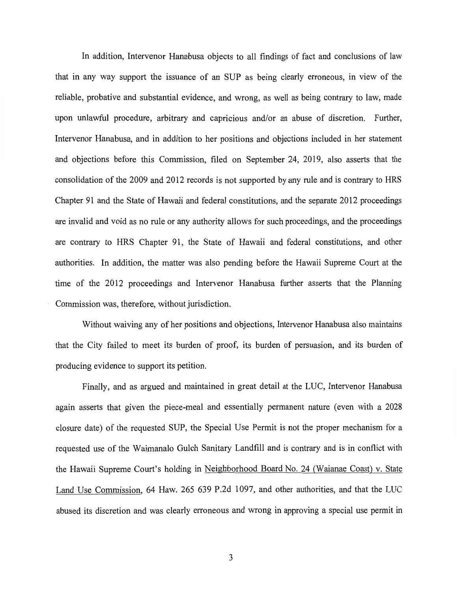In addition, Intervenor Hanabusa objects to all findings of fact and conclusions of law that in any way support the issuance of an SUP as being clearly erroneous, in view of the reliable, probative and substantial evidence, and wrong, as well as being contrary to law, made upon unlawful procedure, arbitrary and capricious and/or an abuse of discretion. Further, Intervenor Hanabusa, and in addition to her positions and objections included in her statement and objections before this Commission, filed on September 24, 2019, also asserts that the consolidation of the 2009 and 2012 records is not supported by any rule and is contrary to HRS Chapter 91 and the State of Hawaii and federal constitutions, and the separate 2012 proceedings are invalid and void as no rule or any authority allows for such proceedings, and the proceedings are contrary to HRS Chapter 91, the State of Hawaii and federal constitutions, and other authorities. In addition, the matter was also pending before the Hawaii Supreme Court at the time of the 2012 proceedings and Intervenor Hanabusa further asserts that the Planning Commission was, therefore, without jurisdiction.

Without waiving any of her positions and objections, Intervenor Hanabusa also maintains that the City failed to meet its burden of proof, its burden of persuasion, and its burden of producing evidence to support its petition.

Finally, and as argued and maintained in great detail at the LUC, Intervenor Hanabusa again asserts that given the piece-meal and essentially permanent nature (even with a 2028 closure date) of the requested SUP, the Special Use Permit is not the proper mechanism for a requested use of the Waimanalo Gulch Sanitary Landfill and is contrary and is in conflict with the Hawaii Supreme Court's holding in Neighborhood Board No. 24 (Waianae Coast) v. State Land Use Commission, 64 Haw. 265 639 P.2d 1097, and other authorities, and that the LUC abused its discretion and was clearly erroneous and wrong in approving a special use permit in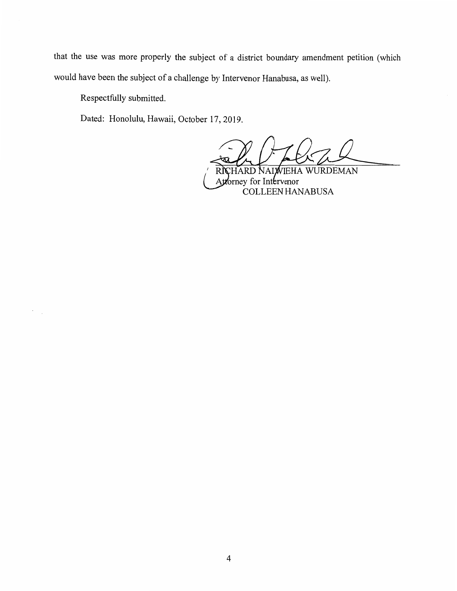that the use was more properly the subject of a district boundary amendment petition (which would have been the subject of a challenge by Intervenor Hanabusa, as well).

Respectfully submitted.

 $\mathcal{C}_{\mathcal{A},\mathcal{A}}$ 

Dated: Honolulu, Hawaii, October 17, 2019.

HARD NAIWIEHA WURDEMAN Attorney for Intervenor COLLEEN HANABUSA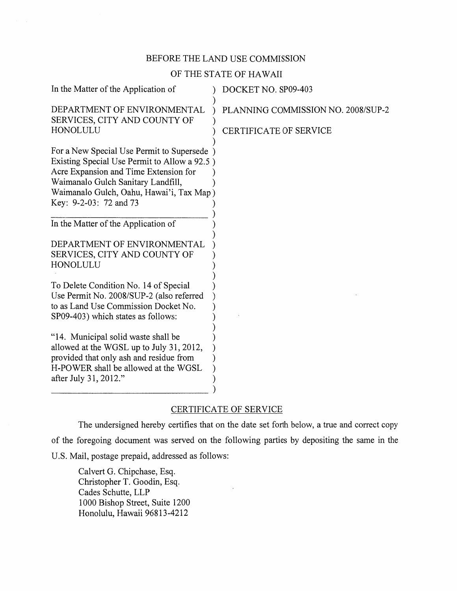# BEFORE THE LAND USE COMMISSION

# OF THE STATE OF HAWAII

| In the Matter of the Application of                                                                                                                                                                                                            | DOCKET NO. SP09-403                |
|------------------------------------------------------------------------------------------------------------------------------------------------------------------------------------------------------------------------------------------------|------------------------------------|
| DEPARTMENT OF ENVIRONMENTAL<br>SERVICES, CITY AND COUNTY OF                                                                                                                                                                                    | PLANNING COMMISSION NO. 2008/SUP-2 |
| HONOLULU                                                                                                                                                                                                                                       | <b>CERTIFICATE OF SERVICE</b>      |
| For a New Special Use Permit to Supersede<br>Existing Special Use Permit to Allow a 92.5)<br>Acre Expansion and Time Extension for<br>Waimanalo Gulch Sanitary Landfill,<br>Waimanalo Gulch, Oahu, Hawai'i, Tax Map)<br>Key: 9-2-03: 72 and 73 |                                    |
| In the Matter of the Application of                                                                                                                                                                                                            |                                    |
| DEPARTMENT OF ENVIRONMENTAL<br>SERVICES, CITY AND COUNTY OF<br>HONOLULU                                                                                                                                                                        |                                    |
| To Delete Condition No. 14 of Special<br>Use Permit No. 2008/SUP-2 (also referred<br>to as Land Use Commission Docket No.<br>SP09-403) which states as follows:                                                                                |                                    |
| "14. Municipal solid waste shall be<br>allowed at the WGSL up to July 31, 2012,<br>provided that only ash and residue from<br>H-POWER shall be allowed at the WGSL<br>after July 31, 2012."                                                    |                                    |

# CERTIFICATE OF SERVICE

The undersigned hereby certifies that on the date set forth below, a true and correct copy of the foregoing document was served on the following parties by depositing the same in the U.S. Mail, postage prepaid, addressed as follows:

Calvert G. Chipchase, Esq. Christopher T. Goodin, Esq. Cades Schutte, LLP 1000 Bishop Street, Suite 1200 Honolulu, Hawaii 96813-4212